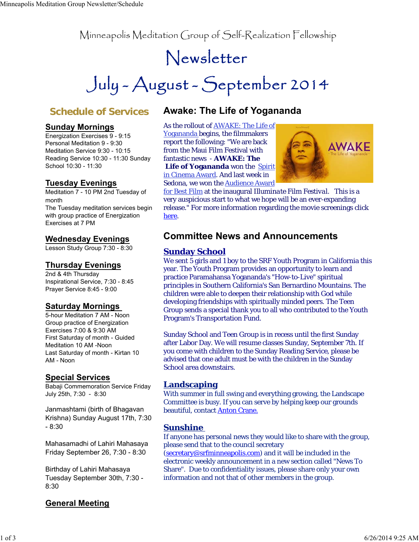Minneapolis Meditation Group of Self-Realization Fellowship

# Newsletter

July - August - September 2014

# **Schedule of Services**

#### **Sunday Mornings**

Energization Exercises 9 - 9:15 Personal Meditation 9 - 9:30 Meditation Service 9:30 - 10:15 Reading Service 10:30 - 11:30 Sunday School 10:30 - 11:30

#### **Tuesday Evenings**

Meditation 7 - 10 PM 2nd Tuesday of month The Tuesday meditation services begin with group practice of Energization Exercises at 7 PM

#### **Wednesday Evenings**

Lesson Study Group 7:30 - 8:30

#### **Thursday Evenings**

2nd & 4th Thursday Inspirational Service, 7:30 - 8:45 Prayer Service 8:45 - 9:00

#### **Saturday Mornings**

5-hour Meditation 7 AM - Noon Group practice of Energization Exercises 7:00 & 9:30 AM First Saturday of month - Guided Meditation 10 AM -Noon Last Saturday of month - Kirtan 10 AM - Noon

#### **Special Services**

Babaji Commemoration Service Friday July 25th, 7:30 - 8:30

Janmashtami (birth of Bhagavan Krishna) Sunday August 17th, 7:30 - 8:30

Mahasamadhi of Lahiri Mahasaya Friday September 26, 7:30 - 8:30

Birthday of Lahiri Mahasaya Tuesday September 30th, 7:30 - 8:30

# **Awake: The Life of Yogananda**

As the rollout of AWAKE: The Life of Yogananda begins, the filmmakers report the following: "We are back from the Maui Film Festival with fantastic news - **AWAKE: The Life of Yogananda** won the Spirit in Cinema Award. And last week in Sedona, we won the Audience Award



for Best Film at the inaugural *Illuminate Film Festival.* This is a very auspicious start to what we hope will be an ever-expanding release." For more information regarding the movie screenings click here.

### **Committee News and Announcements**

#### **Sunday School**

We sent 5 girls and 1 boy to the SRF Youth Program in California this year. The Youth Program provides an opportunity to learn and practice Paramahansa Yogananda's "How-to-Live" spiritual principles in Southern California's San Bernardino Mountains. The children were able to deepen their relationship with God while developing friendships with spiritually minded peers. The Teen Group sends a special thank you to all who contributed to the Youth Program's Transportation Fund.

Sunday School and Teen Group is in recess until the first Sunday after Labor Day. We will resume classes Sunday, September 7th. If you come with children to the Sunday Reading Service, please be advised that one adult must be with the children in the Sunday School area downstairs.

#### **Landscaping**

With summer in full swing and everything growing, the Landscape Committee is busy. If you can serve by helping keep our grounds beautiful, contact Anton Crane.

#### **Sunshine**

If anyone has personal news they would like to share with the group, please send that to the council secretary

(secretary@srfminneapolis.com) and it will be included in the electronic weekly announcement in a new section called "News To Share". Due to confidentiality issues, please share only your own information and not that of other members in the group.

#### **General Meeting**